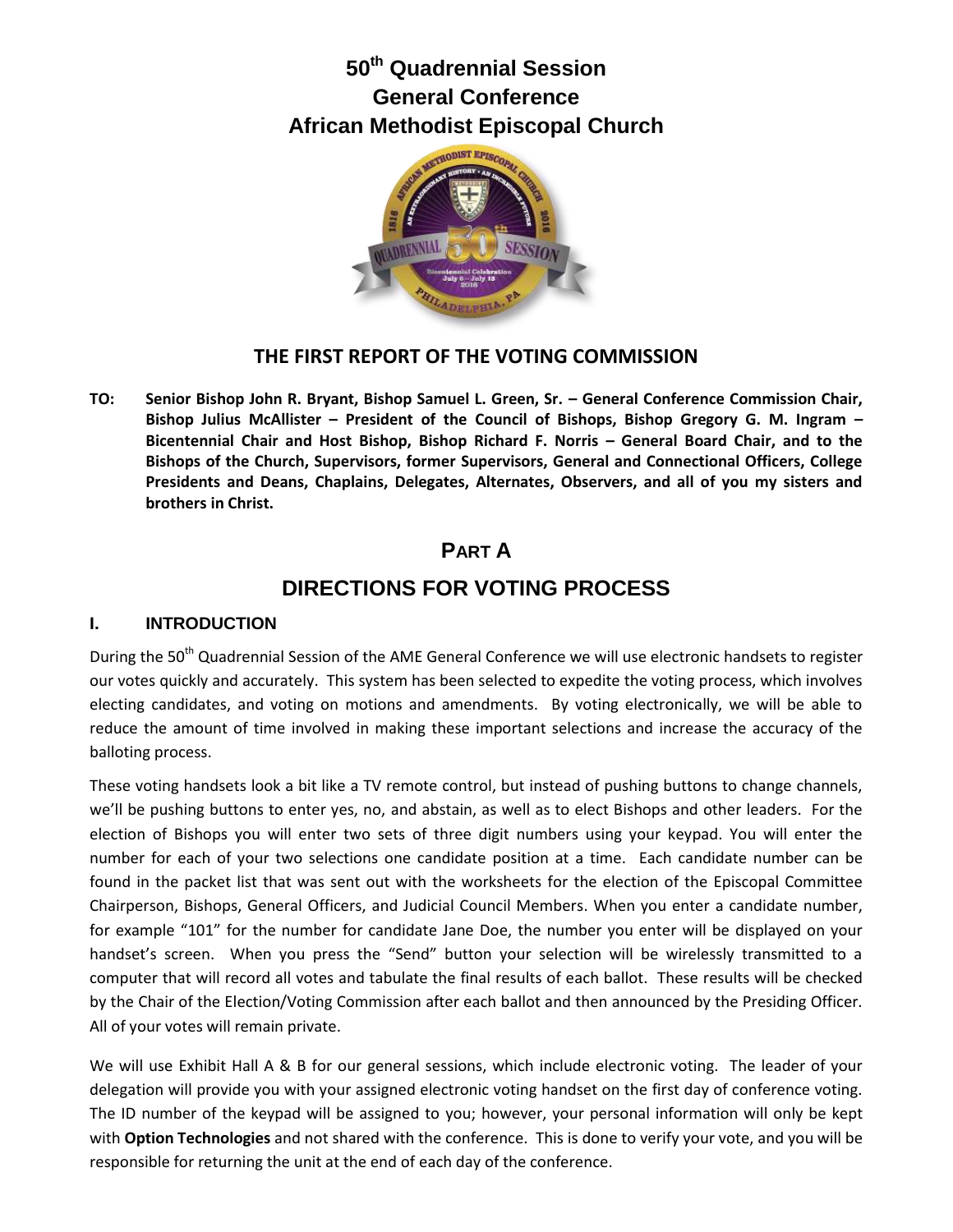# **50th Quadrennial Session General Conference African Methodist Episcopal Church**



### **THE FIRST REPORT OF THE VOTING COMMISSION**

**TO: Senior Bishop John R. Bryant, Bishop Samuel L. Green, Sr. – General Conference Commission Chair, Bishop Julius McAllister – President of the Council of Bishops, Bishop Gregory G. M. Ingram – Bicentennial Chair and Host Bishop, Bishop Richard F. Norris – General Board Chair, and to the Bishops of the Church, Supervisors, former Supervisors, General and Connectional Officers, College Presidents and Deans, Chaplains, Delegates, Alternates, Observers, and all of you my sisters and brothers in Christ.**

## **PART A**

# **DIRECTIONS FOR VOTING PROCESS**

#### **I. INTRODUCTION**

During the 50<sup>th</sup> Quadrennial Session of the AME General Conference we will use electronic handsets to register our votes quickly and accurately. This system has been selected to expedite the voting process, which involves electing candidates, and voting on motions and amendments. By voting electronically, we will be able to reduce the amount of time involved in making these important selections and increase the accuracy of the balloting process.

These voting handsets look a bit like a TV remote control, but instead of pushing buttons to change channels, we'll be pushing buttons to enter yes, no, and abstain, as well as to elect Bishops and other leaders. For the election of Bishops you will enter two sets of three digit numbers using your keypad. You will enter the number for each of your two selections one candidate position at a time. Each candidate number can be found in the packet list that was sent out with the worksheets for the election of the Episcopal Committee Chairperson, Bishops, General Officers, and Judicial Council Members. When you enter a candidate number, for example "101" for the number for candidate Jane Doe, the number you enter will be displayed on your handset's screen. When you press the "Send" button your selection will be wirelessly transmitted to a computer that will record all votes and tabulate the final results of each ballot. These results will be checked by the Chair of the Election/Voting Commission after each ballot and then announced by the Presiding Officer. All of your votes will remain private.

We will use Exhibit Hall A & B for our general sessions, which include electronic voting. The leader of your delegation will provide you with your assigned electronic voting handset on the first day of conference voting. The ID number of the keypad will be assigned to you; however, your personal information will only be kept with **Option Technologies** and not shared with the conference. This is done to verify your vote, and you will be responsible for returning the unit at the end of each day of the conference.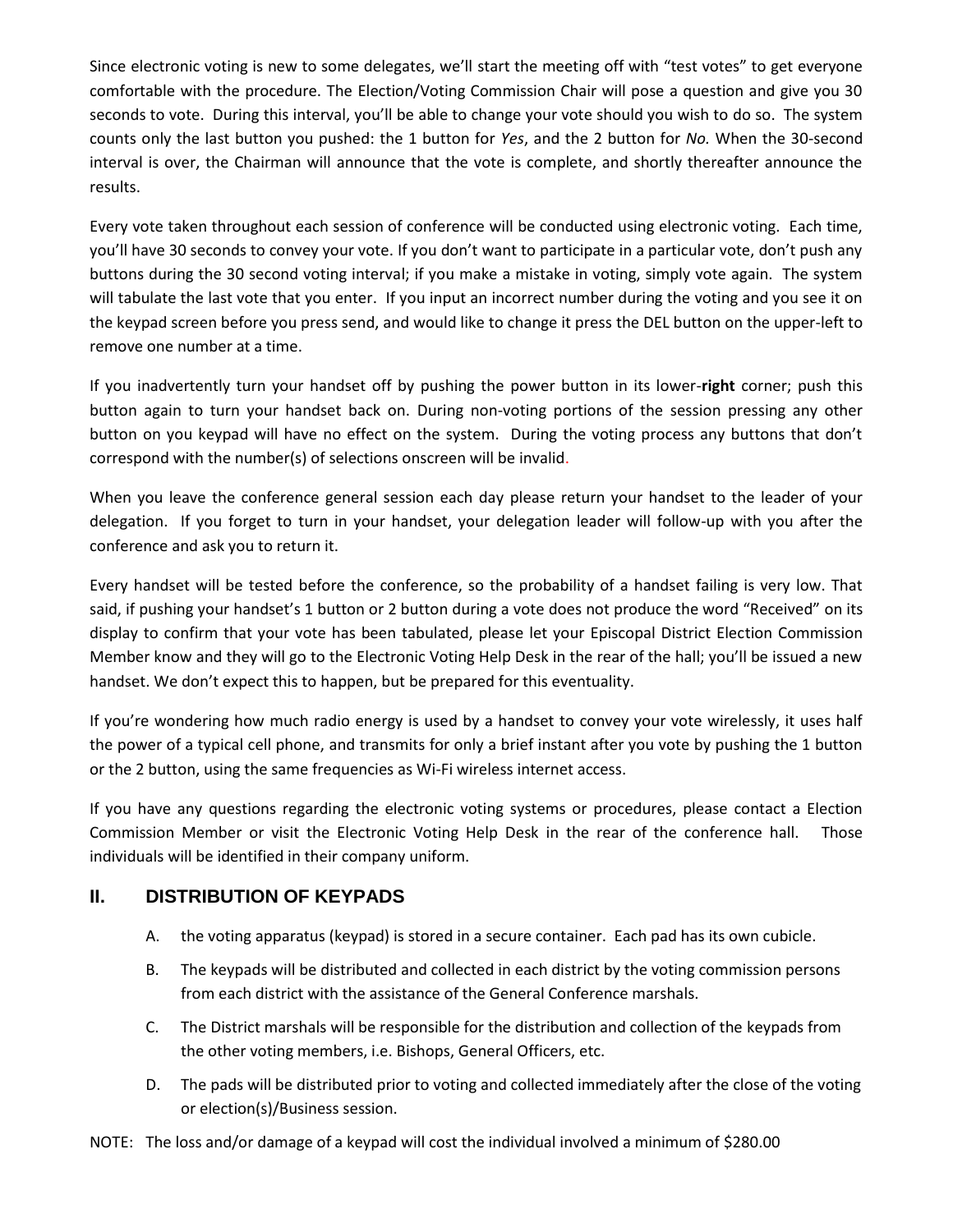Since electronic voting is new to some delegates, we'll start the meeting off with "test votes" to get everyone comfortable with the procedure. The Election/Voting Commission Chair will pose a question and give you 30 seconds to vote. During this interval, you'll be able to change your vote should you wish to do so. The system counts only the last button you pushed: the 1 button for *Yes*, and the 2 button for *No.* When the 30-second interval is over, the Chairman will announce that the vote is complete, and shortly thereafter announce the results.

Every vote taken throughout each session of conference will be conducted using electronic voting. Each time, you'll have 30 seconds to convey your vote. If you don't want to participate in a particular vote, don't push any buttons during the 30 second voting interval; if you make a mistake in voting, simply vote again. The system will tabulate the last vote that you enter. If you input an incorrect number during the voting and you see it on the keypad screen before you press send, and would like to change it press the DEL button on the upper-left to remove one number at a time.

If you inadvertently turn your handset off by pushing the power button in its lower-**right** corner; push this button again to turn your handset back on. During non-voting portions of the session pressing any other button on you keypad will have no effect on the system. During the voting process any buttons that don't correspond with the number(s) of selections onscreen will be invalid.

When you leave the conference general session each day please return your handset to the leader of your delegation. If you forget to turn in your handset, your delegation leader will follow-up with you after the conference and ask you to return it.

Every handset will be tested before the conference, so the probability of a handset failing is very low. That said, if pushing your handset's 1 button or 2 button during a vote does not produce the word "Received" on its display to confirm that your vote has been tabulated, please let your Episcopal District Election Commission Member know and they will go to the Electronic Voting Help Desk in the rear of the hall; you'll be issued a new handset. We don't expect this to happen, but be prepared for this eventuality.

If you're wondering how much radio energy is used by a handset to convey your vote wirelessly, it uses half the power of a typical cell phone, and transmits for only a brief instant after you vote by pushing the 1 button or the 2 button, using the same frequencies as Wi-Fi wireless internet access.

If you have any questions regarding the electronic voting systems or procedures, please contact a Election Commission Member or visit the Electronic Voting Help Desk in the rear of the conference hall. Those individuals will be identified in their company uniform.

### **II. DISTRIBUTION OF KEYPADS**

- A. the voting apparatus (keypad) is stored in a secure container. Each pad has its own cubicle.
- B. The keypads will be distributed and collected in each district by the voting commission persons from each district with the assistance of the General Conference marshals.
- C. The District marshals will be responsible for the distribution and collection of the keypads from the other voting members, i.e. Bishops, General Officers, etc.
- D. The pads will be distributed prior to voting and collected immediately after the close of the voting or election(s)/Business session.

NOTE: The loss and/or damage of a keypad will cost the individual involved a minimum of \$280.00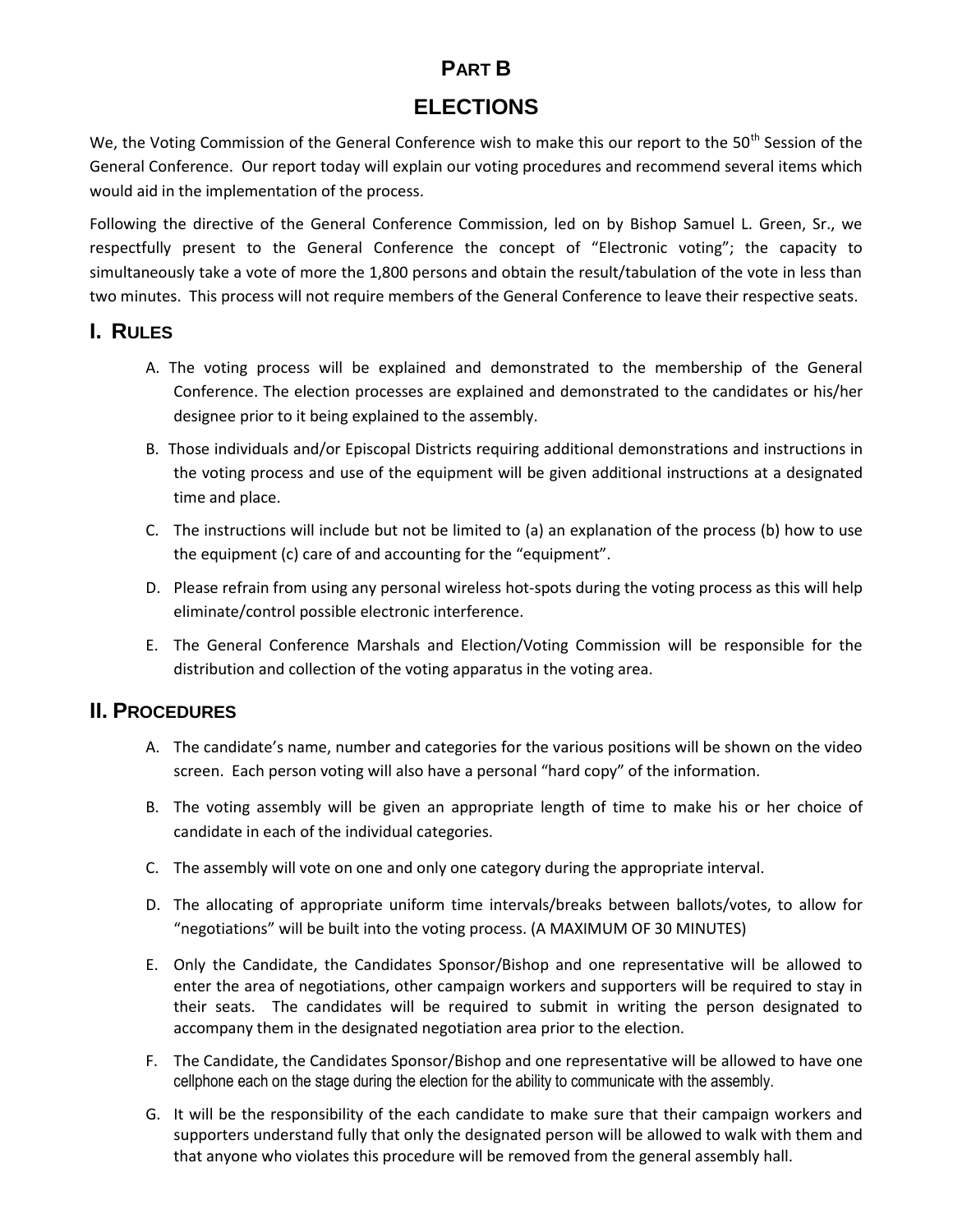## **PART B**

## **ELECTIONS**

We, the Voting Commission of the General Conference wish to make this our report to the 50<sup>th</sup> Session of the General Conference. Our report today will explain our voting procedures and recommend several items which would aid in the implementation of the process.

Following the directive of the General Conference Commission, led on by Bishop Samuel L. Green, Sr., we respectfully present to the General Conference the concept of "Electronic voting"; the capacity to simultaneously take a vote of more the 1,800 persons and obtain the result/tabulation of the vote in less than two minutes. This process will not require members of the General Conference to leave their respective seats.

### **I. RULES**

- A. The voting process will be explained and demonstrated to the membership of the General Conference. The election processes are explained and demonstrated to the candidates or his/her designee prior to it being explained to the assembly.
- B. Those individuals and/or Episcopal Districts requiring additional demonstrations and instructions in the voting process and use of the equipment will be given additional instructions at a designated time and place.
- C. The instructions will include but not be limited to (a) an explanation of the process (b) how to use the equipment (c) care of and accounting for the "equipment".
- D. Please refrain from using any personal wireless hot-spots during the voting process as this will help eliminate/control possible electronic interference.
- E. The General Conference Marshals and Election/Voting Commission will be responsible for the distribution and collection of the voting apparatus in the voting area.

## **II. PROCEDURES**

- A. The candidate's name, number and categories for the various positions will be shown on the video screen. Each person voting will also have a personal "hard copy" of the information.
- B. The voting assembly will be given an appropriate length of time to make his or her choice of candidate in each of the individual categories.
- C. The assembly will vote on one and only one category during the appropriate interval.
- D. The allocating of appropriate uniform time intervals/breaks between ballots/votes, to allow for "negotiations" will be built into the voting process. (A MAXIMUM OF 30 MINUTES)
- E. Only the Candidate, the Candidates Sponsor/Bishop and one representative will be allowed to enter the area of negotiations, other campaign workers and supporters will be required to stay in their seats. The candidates will be required to submit in writing the person designated to accompany them in the designated negotiation area prior to the election.
- F. The Candidate, the Candidates Sponsor/Bishop and one representative will be allowed to have one cellphone each on the stage during the election for the ability to communicate with the assembly.
- G. It will be the responsibility of the each candidate to make sure that their campaign workers and supporters understand fully that only the designated person will be allowed to walk with them and that anyone who violates this procedure will be removed from the general assembly hall.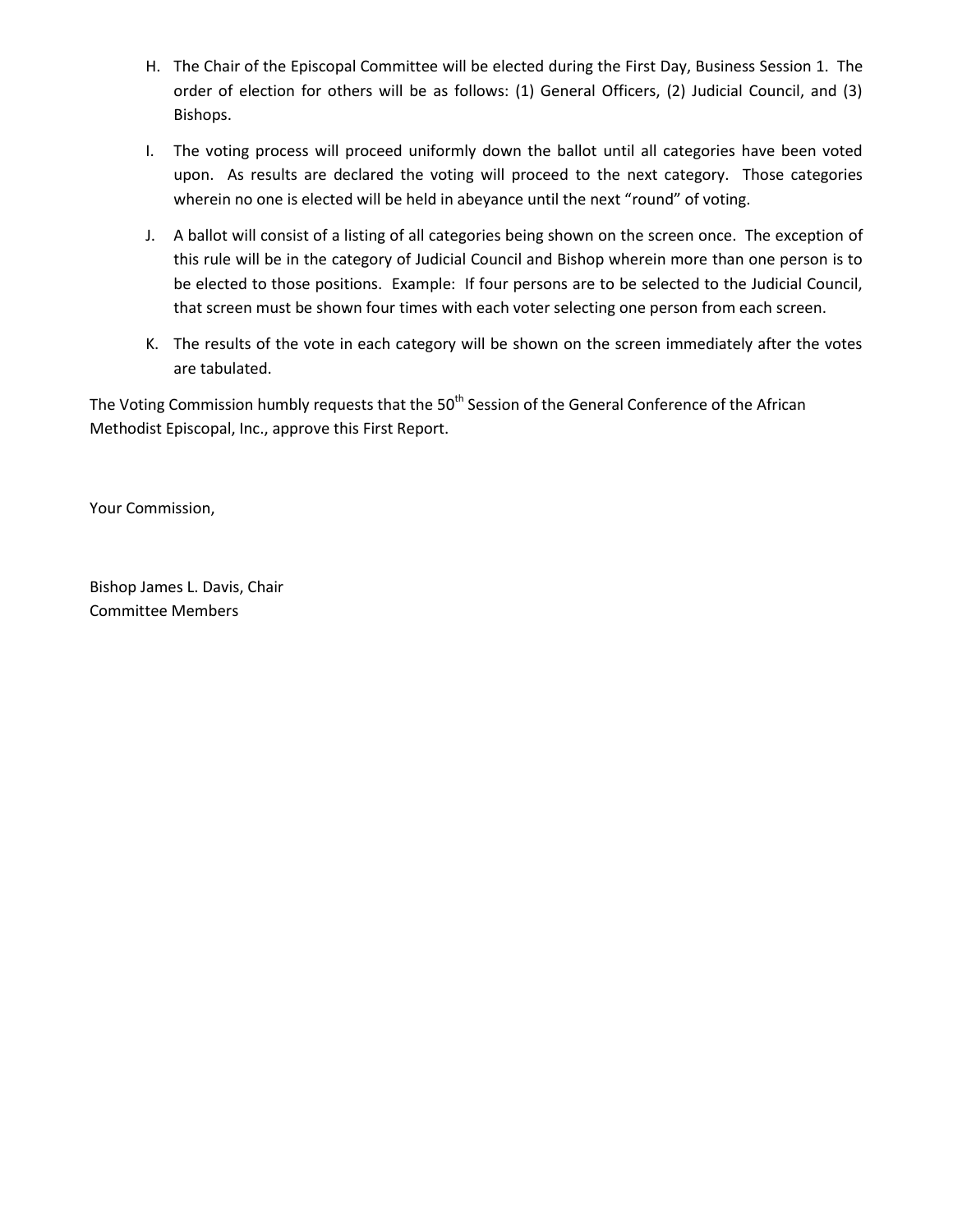- H. The Chair of the Episcopal Committee will be elected during the First Day, Business Session 1. The order of election for others will be as follows: (1) General Officers, (2) Judicial Council, and (3) Bishops.
- I. The voting process will proceed uniformly down the ballot until all categories have been voted upon. As results are declared the voting will proceed to the next category. Those categories wherein no one is elected will be held in abeyance until the next "round" of voting.
- J. A ballot will consist of a listing of all categories being shown on the screen once. The exception of this rule will be in the category of Judicial Council and Bishop wherein more than one person is to be elected to those positions. Example: If four persons are to be selected to the Judicial Council, that screen must be shown four times with each voter selecting one person from each screen.
- K. The results of the vote in each category will be shown on the screen immediately after the votes are tabulated.

The Voting Commission humbly requests that the 50<sup>th</sup> Session of the General Conference of the African Methodist Episcopal, Inc., approve this First Report.

Your Commission,

Bishop James L. Davis, Chair Committee Members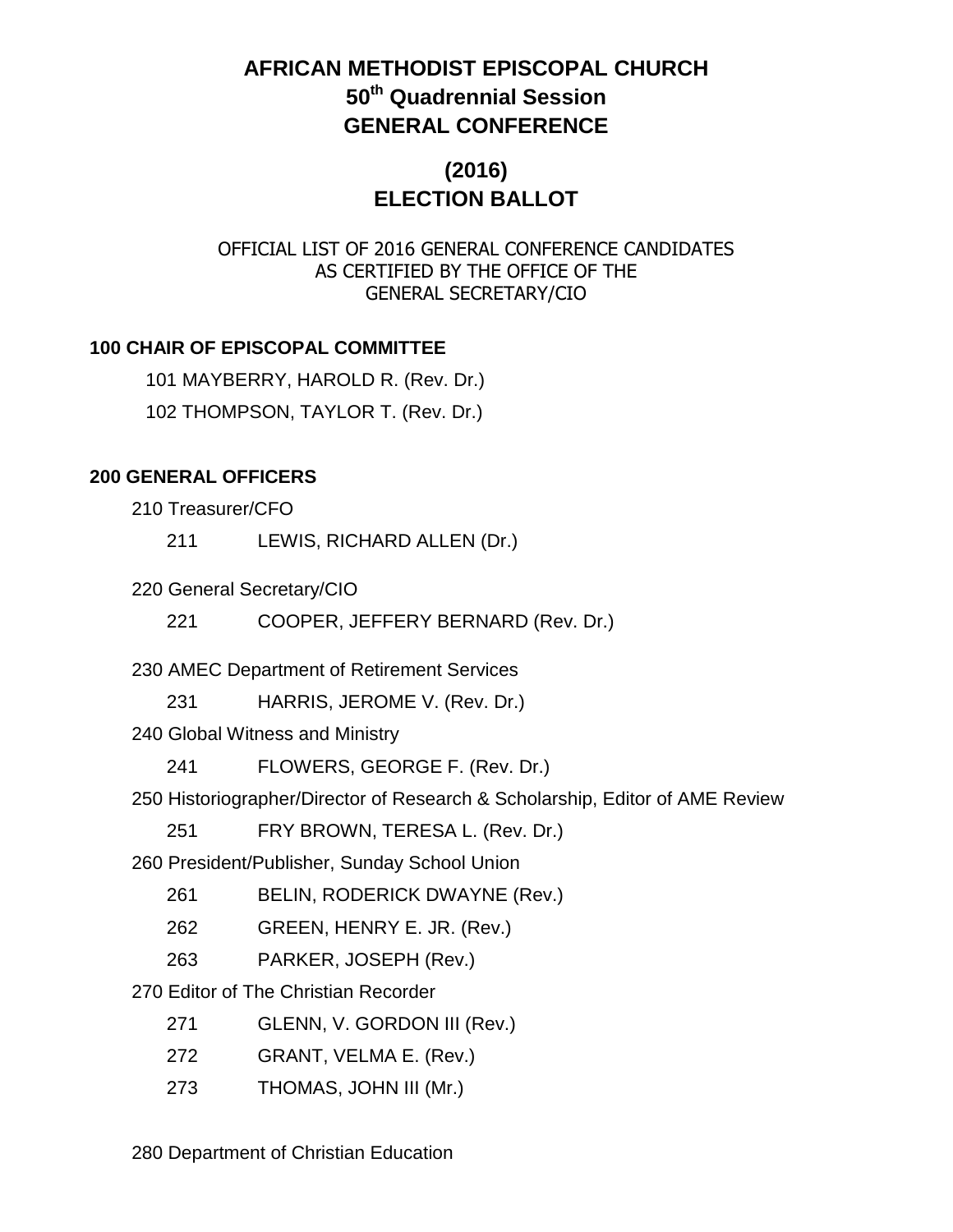# **AFRICAN METHODIST EPISCOPAL CHURCH 50th Quadrennial Session GENERAL CONFERENCE**

# **(2016) ELECTION BALLOT**

### OFFICIAL LIST OF 2016 GENERAL CONFERENCE CANDIDATES AS CERTIFIED BY THE OFFICE OF THE GENERAL SECRETARY/CIO

### **100 CHAIR OF EPISCOPAL COMMITTEE**

101 MAYBERRY, HAROLD R. (Rev. Dr.) 102 THOMPSON, TAYLOR T. (Rev. Dr.)

#### **200 GENERAL OFFICERS**

210 Treasurer/CFO

211 LEWIS, RICHARD ALLEN (Dr.)

220 General Secretary/CIO

221 COOPER, JEFFERY BERNARD (Rev. Dr.)

230 AMEC Department of Retirement Services

231 HARRIS, JEROME V. (Rev. Dr.)

240 Global Witness and Ministry

241 FLOWERS, GEORGE F. (Rev. Dr.)

250 Historiographer/Director of Research & Scholarship, Editor of AME Review

251 FRY BROWN, TERESA L. (Rev. Dr.)

260 President/Publisher, Sunday School Union

261 BELIN, RODERICK DWAYNE (Rev.)

262 GREEN, HENRY E. JR. (Rev.)

263 PARKER, JOSEPH (Rev.)

270 Editor of The Christian Recorder

271 GLENN, V. GORDON III (Rev.)

272 GRANT, VELMA E. (Rev.)

273 THOMAS, JOHN III (Mr.)

280 Department of Christian Education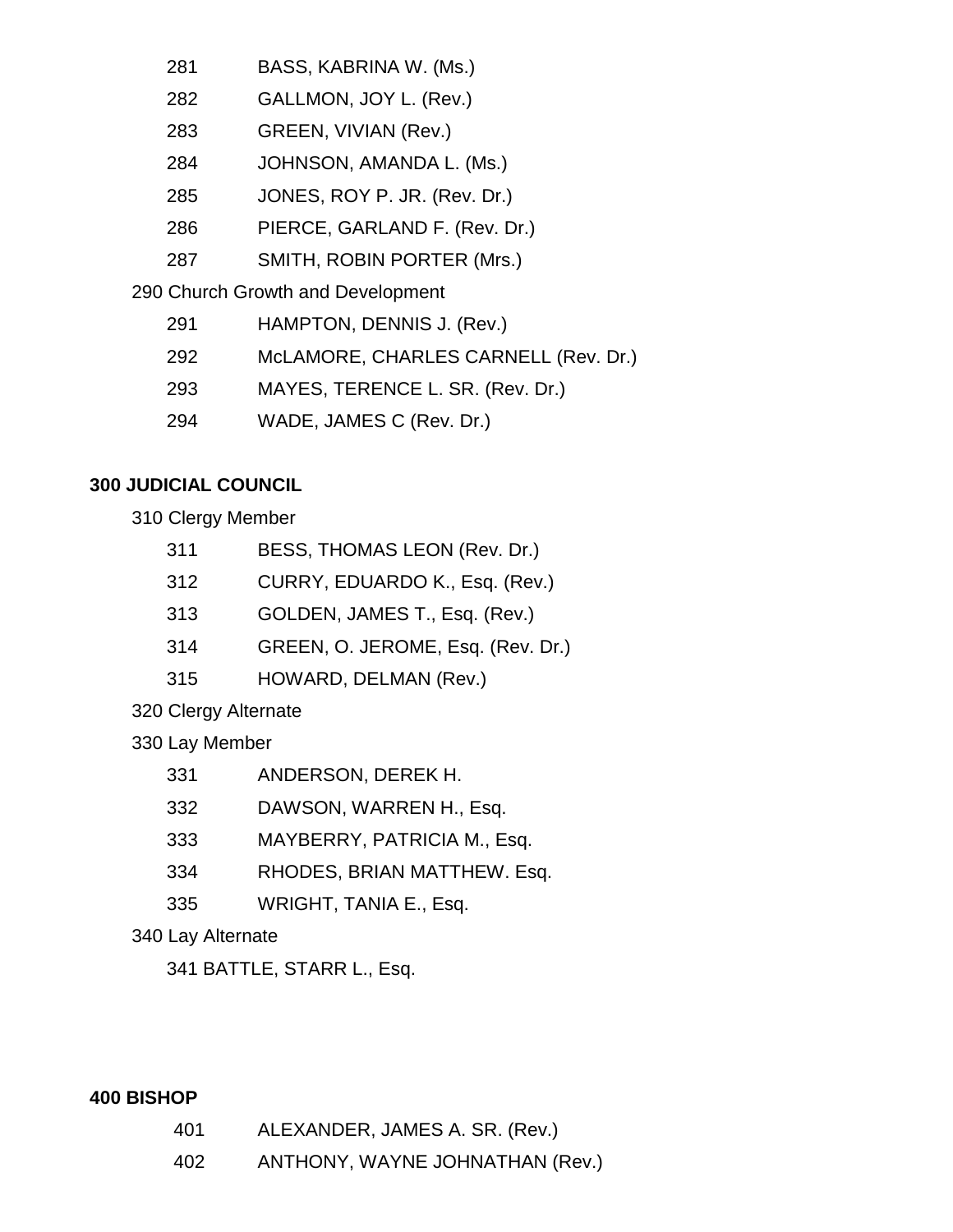- 281 BASS, KABRINA W. (Ms.)
- 282 GALLMON, JOY L. (Rev.)
- 283 GREEN, VIVIAN (Rev.)
- 284 JOHNSON, AMANDA L. (Ms.)
- 285 JONES, ROY P. JR. (Rev. Dr.)
- 286 PIERCE, GARLAND F. (Rev. Dr.)
- 287 SMITH, ROBIN PORTER (Mrs.)

290 Church Growth and Development

- 291 HAMPTON, DENNIS J. (Rev.)
- 292 McLAMORE, CHARLES CARNELL (Rev. Dr.)
- 293 MAYES, TERENCE L. SR. (Rev. Dr.)
- 294 WADE, JAMES C (Rev. Dr.)

## **300 JUDICIAL COUNCIL**

310 Clergy Member

- 312 CURRY, EDUARDO K., Esq. (Rev.)
- 313 GOLDEN, JAMES T., Esq. (Rev.)
- 314 GREEN, O. JEROME, Esq. (Rev. Dr.)
- 315 HOWARD, DELMAN (Rev.)

320 Clergy Alternate

330 Lay Member

- 331 ANDERSON, DEREK H.
- 332 DAWSON, WARREN H., Esq.
- 333 MAYBERRY, PATRICIA M., Esq.
- 334 RHODES, BRIAN MATTHEW. Esq.
- 335 WRIGHT, TANIA E., Esq.

## 340 Lay Alternate

341 BATTLE, STARR L., Esq.

### **400 BISHOP**

- 401 ALEXANDER, JAMES A. SR. (Rev.)
- 402 ANTHONY, WAYNE JOHNATHAN (Rev.)